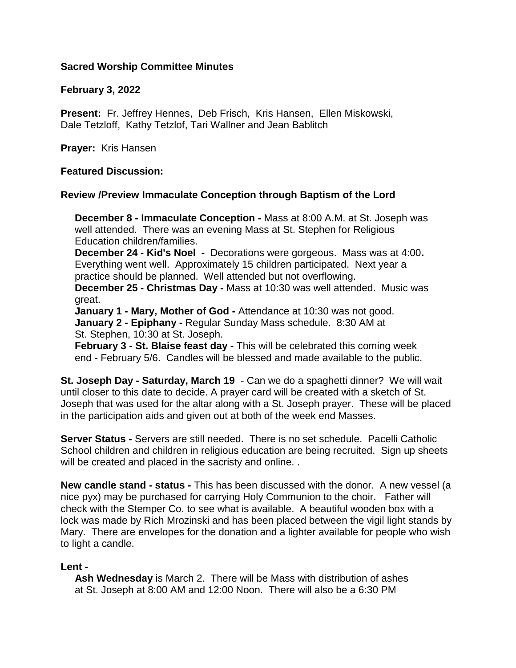## **Sacred Worship Committee Minutes**

## **February 3, 2022**

**Present:** Fr. Jeffrey Hennes, Deb Frisch, Kris Hansen, Ellen Miskowski, Dale Tetzloff, Kathy Tetzlof, Tari Wallner and Jean Bablitch

**Prayer:** Kris Hansen

## **Featured Discussion:**

# **Review /Preview Immaculate Conception through Baptism of the Lord**

 **December 8 - Immaculate Conception -** Mass at 8:00 A.M. at St. Joseph was well attended. There was an evening Mass at St. Stephen for Religious Education children/families.

 **December 24 - Kid's Noel -** Decorations were gorgeous. Mass was at 4:00**.** Everything went well. Approximately 15 children participated. Next year a practice should be planned. Well attended but not overflowing.

 **December 25 - Christmas Day -** Mass at 10:30 was well attended. Music was great.

 **January 1 - Mary, Mother of God -** Attendance at 10:30 was not good. **January 2 - Epiphany -** Regular Sunday Mass schedule. 8:30 AM at St. Stephen, 10:30 at St. Joseph.

 **February 3 - St. Blaise feast day -** This will be celebrated this coming week end - February 5/6. Candles will be blessed and made available to the public.

**St. Joseph Day - Saturday, March 19** - Can we do a spaghetti dinner? We will wait until closer to this date to decide. A prayer card will be created with a sketch of St. Joseph that was used for the altar along with a St. Joseph prayer. These will be placed in the participation aids and given out at both of the week end Masses.

**Server Status -** Servers are still needed. There is no set schedule. Pacelli Catholic School children and children in religious education are being recruited. Sign up sheets will be created and placed in the sacristy and online. .

**New candle stand - status -** This has been discussed with the donor. A new vessel (a nice pyx) may be purchased for carrying Holy Communion to the choir. Father will check with the Stemper Co. to see what is available. A beautiful wooden box with a lock was made by Rich Mrozinski and has been placed between the vigil light stands by Mary. There are envelopes for the donation and a lighter available for people who wish to light a candle.

## **Lent -**

 **Ash Wednesday** is March 2. There will be Mass with distribution of ashes at St. Joseph at 8:00 AM and 12:00 Noon. There will also be a 6:30 PM